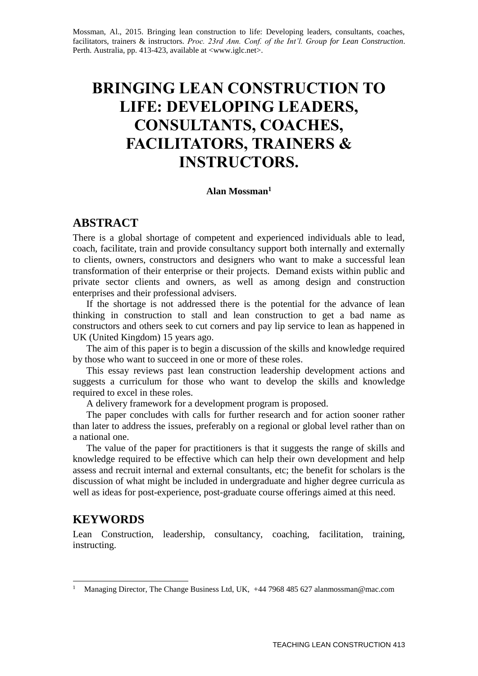Mossman, Al., 2015. Bringing lean construction to life: Developing leaders, consultants, coaches, facilitators, trainers & instructors. *Proc. 23rd Ann. Conf. of the Int'l. Group for Lean Construction*. Perth. Australia, pp. 413-423, available at [<www.iglc.net>](http://www.iglc.net/).

# **BRINGING LEAN CONSTRUCTION TO LIFE: DEVELOPING LEADERS, CONSULTANTS, COACHES, FACILITATORS, TRAINERS & INSTRUCTORS.**

#### **Alan Mossman<sup>1</sup>**

### **ABSTRACT**

There is a global shortage of competent and experienced individuals able to lead, coach, facilitate, train and provide consultancy support both internally and externally to clients, owners, constructors and designers who want to make a successful lean transformation of their enterprise or their projects. Demand exists within public and private sector clients and owners, as well as among design and construction enterprises and their professional advisers.

If the shortage is not addressed there is the potential for the advance of lean thinking in construction to stall and lean construction to get a bad name as constructors and others seek to cut corners and pay lip service to lean as happened in UK (United Kingdom) 15 years ago.

The aim of this paper is to begin a discussion of the skills and knowledge required by those who want to succeed in one or more of these roles.

This essay reviews past lean construction leadership development actions and suggests a curriculum for those who want to develop the skills and knowledge required to excel in these roles.

A delivery framework for a development program is proposed.

The paper concludes with calls for further research and for action sooner rather than later to address the issues, preferably on a regional or global level rather than on a national one.

The value of the paper for practitioners is that it suggests the range of skills and knowledge required to be effective which can help their own development and help assess and recruit internal and external consultants, etc; the benefit for scholars is the discussion of what might be included in undergraduate and higher degree curricula as well as ideas for post-experience, post-graduate course offerings aimed at this need.

### **KEYWORDS**

1

Lean Construction, leadership, consultancy, coaching, facilitation, training, instructing.

<sup>&</sup>lt;sup>1</sup> Managing Director, The Change Business Ltd, UK, +44 7968 485 627 alanmossman@mac.com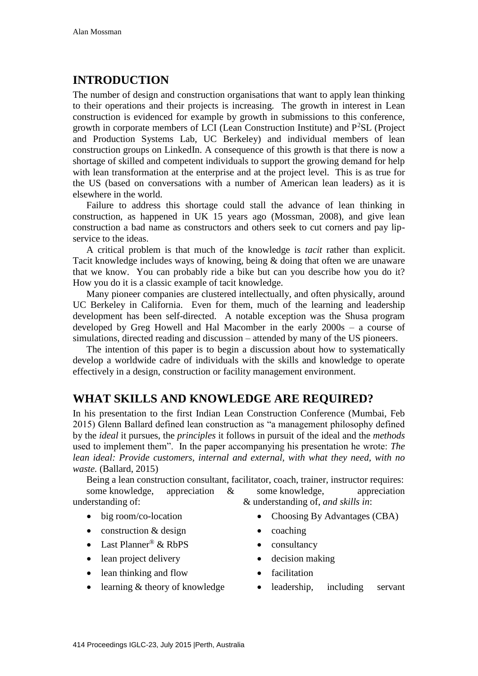# **INTRODUCTION**

The number of design and construction organisations that want to apply lean thinking to their operations and their projects is increasing. The growth in interest in Lean construction is evidenced for example by growth in submissions to this conference, growth in corporate members of LCI (Lean Construction Institute) and  $P^2SL$  (Project and Production Systems Lab, UC Berkeley) and individual members of lean construction groups on LinkedIn. A consequence of this growth is that there is now a shortage of skilled and competent individuals to support the growing demand for help with lean transformation at the enterprise and at the project level. This is as true for the US (based on conversations with a number of American lean leaders) as it is elsewhere in the world.

Failure to address this shortage could stall the advance of lean thinking in construction, as happened in UK 15 years ago (Mossman, 2008), and give lean construction a bad name as constructors and others seek to cut corners and pay lipservice to the ideas.

A critical problem is that much of the knowledge is *tacit* rather than explicit. Tacit knowledge includes ways of knowing, being & doing that often we are unaware that we know. You can probably ride a bike but can you describe how you do it? How you do it is a classic example of tacit knowledge.

Many pioneer companies are clustered intellectually, and often physically, around UC Berkeley in California. Even for them, much of the learning and leadership development has been self-directed. A notable exception was the Shusa program developed by Greg Howell and Hal Macomber in the early 2000s – a course of simulations, directed reading and discussion – attended by many of the US pioneers.

The intention of this paper is to begin a discussion about how to systematically develop a worldwide cadre of individuals with the skills and knowledge to operate effectively in a design, construction or facility management environment.

### **WHAT SKILLS AND KNOWLEDGE ARE REQUIRED?**

In his presentation to the first Indian Lean Construction Conference (Mumbai, Feb 2015) Glenn Ballard defined lean construction as "a management philosophy defined by the *ideal* it pursues, the *principles* it follows in pursuit of the ideal and the *methods* used to implement them". In the paper accompanying his presentation he wrote: *The lean ideal: Provide customers, internal and external, with what they need, with no waste.* (Ballard, 2015)

Being a lean construction consultant, facilitator, coach, trainer, instructor requires: some knowledge, appreciation & understanding of: some knowledge, appreciation & understanding of, *and skills in*:

- big room/co-location
- construction & design
- Last Planner® & RbPS
- lean project delivery
- lean thinking and flow
- learning & theory of knowledge
- Choosing By Advantages (CBA)
- coaching
- consultancy
- decision making
- facilitation
- leadership, including servant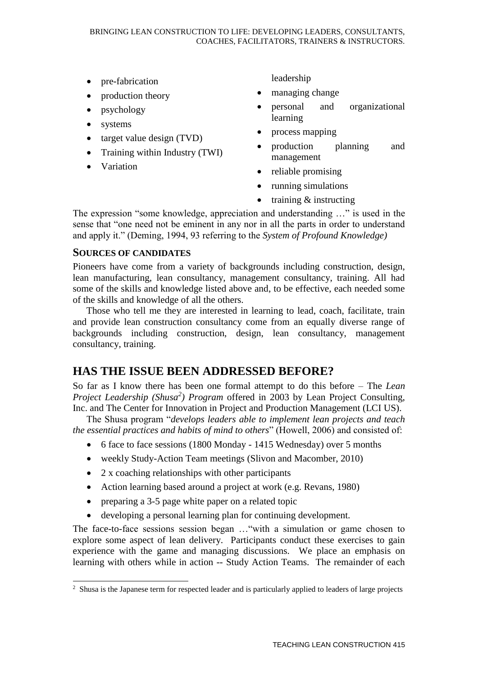- pre-fabrication
- production theory
- psychology
- systems
- $\bullet$  target value design (TVD)
- Training within Industry (TWI)
- Variation

leadership

- managing change
- personal and organizational learning
- process mapping
- production planning and management
- reliable promising
- running simulations
- training & instructing

The expression "some knowledge, appreciation and understanding …" is used in the sense that "one need not be eminent in any nor in all the parts in order to understand and apply it." (Deming, 1994, 93 referring to the *System of Profound Knowledge)*

### **SOURCES OF CANDIDATES**

Pioneers have come from a variety of backgrounds including construction, design, lean manufacturing, lean consultancy, management consultancy, training. All had some of the skills and knowledge listed above and, to be effective, each needed some of the skills and knowledge of all the others.

Those who tell me they are interested in learning to lead, coach, facilitate, train and provide lean construction consultancy come from an equally diverse range of backgrounds including construction, design, lean consultancy, management consultancy, training.

# **HAS THE ISSUE BEEN ADDRESSED BEFORE?**

So far as I know there has been one formal attempt to do this before – The *Lean Project Leadership (Shusa<sup>2</sup> ) Program* offered in 2003 by Lean Project Consulting, Inc. and The Center for Innovation in Project and Production Management (LCI US).

The Shusa program "*develops leaders able to implement lean projects and teach the essential practices and habits of mind to others*" (Howell, 2006) and consisted of:

- 6 face to face sessions (1800 Monday 1415 Wednesday) over 5 months
- weekly Study-Action Team meetings (Slivon and Macomber, 2010)
- 2 x coaching relationships with other participants
- Action learning based around a project at work (e.g. Revans, 1980)
- preparing a 3-5 page white paper on a related topic
- developing a personal learning plan for continuing development.

The face-to-face sessions session began …"with a simulation or game chosen to explore some aspect of lean delivery. Participants conduct these exercises to gain experience with the game and managing discussions. We place an emphasis on learning with others while in action -- Study Action Teams. The remainder of each

<sup>1</sup> <sup>2</sup> Shusa is the Japanese term for respected leader and is particularly applied to leaders of large projects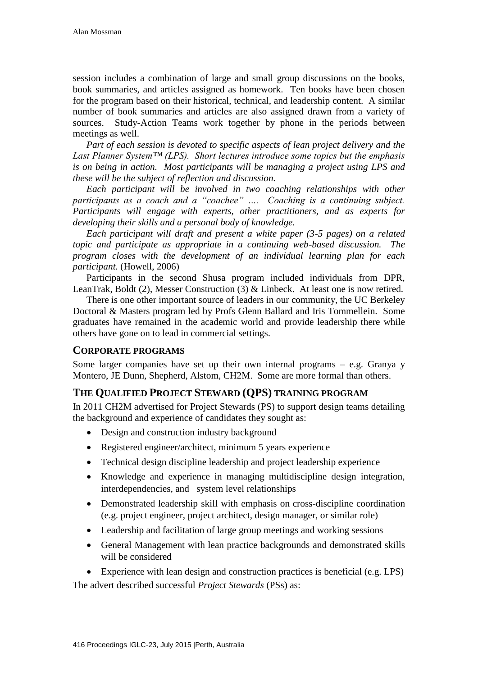session includes a combination of large and small group discussions on the books, book summaries, and articles assigned as homework. Ten books have been chosen for the program based on their historical, technical, and leadership content. A similar number of book summaries and articles are also assigned drawn from a variety of sources. Study-Action Teams work together by phone in the periods between meetings as well.

*Part of each session is devoted to specific aspects of lean project delivery and the Last Planner System™ (LPS). Short lectures introduce some topics but the emphasis is on being in action. Most participants will be managing a project using LPS and these will be the subject of reflection and discussion.*

*Each participant will be involved in two coaching relationships with other participants as a coach and a "coachee" …. Coaching is a continuing subject. Participants will engage with experts, other practitioners, and as experts for developing their skills and a personal body of knowledge.*

*Each participant will draft and present a white paper (3-5 pages) on a related topic and participate as appropriate in a continuing web-based discussion. The program closes with the development of an individual learning plan for each participant.* (Howell, 2006)

Participants in the second Shusa program included individuals from DPR, LeanTrak, Boldt (2), Messer Construction (3) & Linbeck. At least one is now retired.

There is one other important source of leaders in our community, the UC Berkeley Doctoral & Masters program led by Profs Glenn Ballard and Iris Tommellein. Some graduates have remained in the academic world and provide leadership there while others have gone on to lead in commercial settings.

#### **CORPORATE PROGRAMS**

Some larger companies have set up their own internal programs – e.g. Granya y Montero, JE Dunn, Shepherd, Alstom, CH2M. Some are more formal than others.

#### **THE QUALIFIED PROJECT STEWARD (QPS) TRAINING PROGRAM**

In 2011 CH2M advertised for Project Stewards (PS) to support design teams detailing the background and experience of candidates they sought as:

- Design and construction industry background
- Registered engineer/architect, minimum 5 years experience
- Technical design discipline leadership and project leadership experience
- Knowledge and experience in managing multidiscipline design integration, interdependencies, and system level relationships
- Demonstrated leadership skill with emphasis on cross-discipline coordination (e.g. project engineer, project architect, design manager, or similar role)
- Leadership and facilitation of large group meetings and working sessions
- General Management with lean practice backgrounds and demonstrated skills will be considered

Experience with lean design and construction practices is beneficial (e.g. LPS)

The advert described successful *Project Stewards* (PSs) as: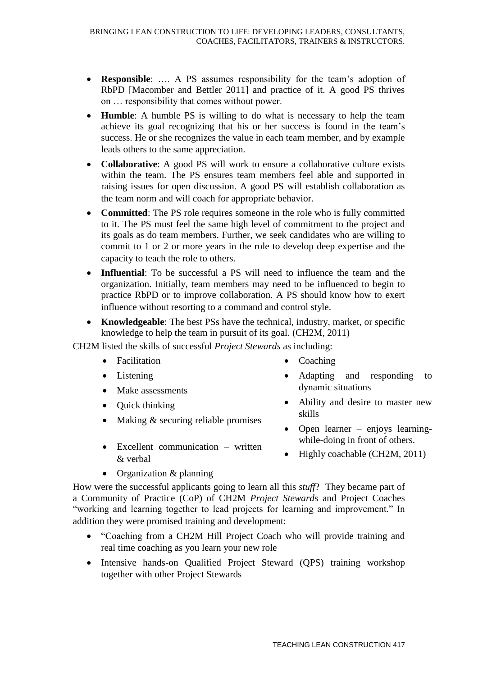- **Responsible**: …. A PS assumes responsibility for the team's adoption of RbPD [Macomber and Bettler 2011] and practice of it. A good PS thrives on … responsibility that comes without power.
- **Humble**: A humble PS is willing to do what is necessary to help the team achieve its goal recognizing that his or her success is found in the team's success. He or she recognizes the value in each team member, and by example leads others to the same appreciation.
- **Collaborative**: A good PS will work to ensure a collaborative culture exists within the team. The PS ensures team members feel able and supported in raising issues for open discussion. A good PS will establish collaboration as the team norm and will coach for appropriate behavior.
- **Committed:** The PS role requires someone in the role who is fully committed to it. The PS must feel the same high level of commitment to the project and its goals as do team members. Further, we seek candidates who are willing to commit to 1 or 2 or more years in the role to develop deep expertise and the capacity to teach the role to others.
- **Influential**: To be successful a PS will need to influence the team and the organization. Initially, team members may need to be influenced to begin to practice RbPD or to improve collaboration. A PS should know how to exert influence without resorting to a command and control style.
- **Knowledgeable**: The best PSs have the technical, industry, market, or specific knowledge to help the team in pursuit of its goal. (CH2M, 2011)

CH2M listed the skills of successful *Project Stewards* as including:

- Facilitation
- Listening
- Make assessments
- Quick thinking
- $\bullet$  Making & securing reliable promises
- Excellent communication written & verbal
- Coaching
- Adapting and responding to dynamic situations
- Ability and desire to master new skills
- Open learner enjoys learningwhile-doing in front of others.
- Highly coachable (CH2M, 2011)
- Organization & planning

How were the successful applicants going to learn all this *stuff*?They became part of a Community of Practice (CoP) of CH2M *Project Steward*s and Project Coaches "working and learning together to lead projects for learning and improvement." In addition they were promised training and development:

- "Coaching from a CH2M Hill Project Coach who will provide training and real time coaching as you learn your new role
- Intensive hands-on Qualified Project Steward (QPS) training workshop together with other Project Stewards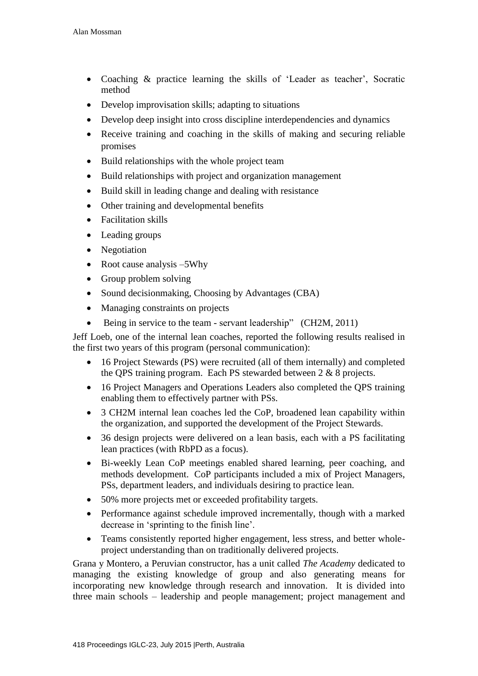- Coaching & practice learning the skills of 'Leader as teacher', Socratic method
- Develop improvisation skills; adapting to situations
- Develop deep insight into cross discipline interdependencies and dynamics
- Receive training and coaching in the skills of making and securing reliable promises
- Build relationships with the whole project team
- Build relationships with project and organization management
- Build skill in leading change and dealing with resistance
- Other training and developmental benefits
- Facilitation skills
- Leading groups
- Negotiation
- Root cause analysis –5Why
- Group problem solving
- Sound decisionmaking, Choosing by Advantages (CBA)
- Managing constraints on projects
- Being in service to the team servant leadership" (CH2M, 2011)

Jeff Loeb, one of the internal lean coaches, reported the following results realised in the first two years of this program (personal communication):

- 16 Project Stewards (PS) were recruited (all of them internally) and completed the QPS training program. Each PS stewarded between 2 & 8 projects.
- 16 Project Managers and Operations Leaders also completed the QPS training enabling them to effectively partner with PSs.
- 3 CH2M internal lean coaches led the CoP, broadened lean capability within the organization, and supported the development of the Project Stewards.
- 36 design projects were delivered on a lean basis, each with a PS facilitating lean practices (with RbPD as a focus).
- Bi-weekly Lean CoP meetings enabled shared learning, peer coaching, and methods development. CoP participants included a mix of Project Managers, PSs, department leaders, and individuals desiring to practice lean.
- 50% more projects met or exceeded profitability targets.
- Performance against schedule improved incrementally, though with a marked decrease in 'sprinting to the finish line'.
- Teams consistently reported higher engagement, less stress, and better wholeproject understanding than on traditionally delivered projects.

Grana y Montero, a Peruvian constructor, has a unit called *The Academy* dedicated to managing the existing knowledge of group and also generating means for incorporating new knowledge through research and innovation. It is divided into three main schools – leadership and people management; project management and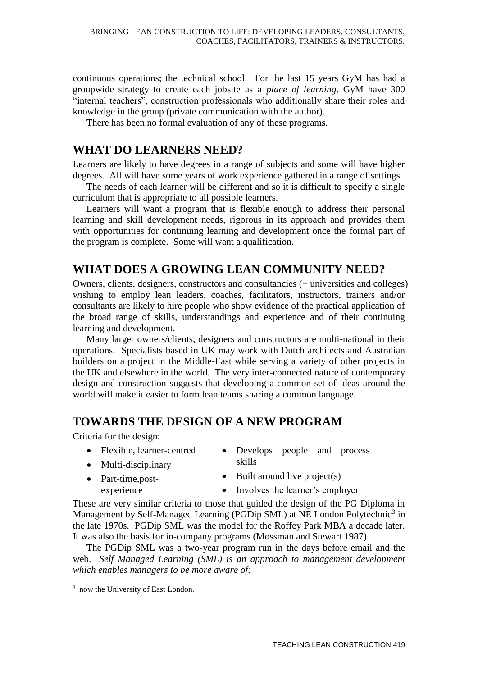continuous operations; the technical school. For the last 15 years GyM has had a groupwide strategy to create each jobsite as a *place of learning*. GyM have 300 "internal teachers", construction professionals who additionally share their roles and knowledge in the group (private communication with the author).

There has been no formal evaluation of any of these programs.

### **WHAT DO LEARNERS NEED?**

Learners are likely to have degrees in a range of subjects and some will have higher degrees. All will have some years of work experience gathered in a range of settings.

The needs of each learner will be different and so it is difficult to specify a single curriculum that is appropriate to all possible learners.

Learners will want a program that is flexible enough to address their personal learning and skill development needs, rigorous in its approach and provides them with opportunities for continuing learning and development once the formal part of the program is complete. Some will want a qualification.

### **WHAT DOES A GROWING LEAN COMMUNITY NEED?**

Owners, clients, designers, constructors and consultancies (+ universities and colleges) wishing to employ lean leaders, coaches, facilitators, instructors, trainers and/or consultants are likely to hire people who show evidence of the practical application of the broad range of skills, understandings and experience and of their continuing learning and development.

Many larger owners/clients, designers and constructors are multi-national in their operations. Specialists based in UK may work with Dutch architects and Australian builders on a project in the Middle-East while serving a variety of other projects in the UK and elsewhere in the world. The very inter-connected nature of contemporary design and construction suggests that developing a common set of ideas around the world will make it easier to form lean teams sharing a common language.

### **TOWARDS THE DESIGN OF A NEW PROGRAM**

Criteria for the design:

- Flexible, learner-centred
- Develops people and process skills
- Multi-disciplinary

• Part-time, postexperience

- $\bullet$  Built around live project(s)
- Involves the learner's employer

These are very similar criteria to those that guided the design of the PG Diploma in Management by Self-Managed Learning (PGDip SML) at NE London Polytechnic<sup>3</sup> in the late 1970s. PGDip SML was the model for the Roffey Park MBA a decade later. It was also the basis for in-company programs (Mossman and Stewart 1987).

The PGDip SML was a two-year program run in the days before email and the web. *Self Managed Learning (SML) is an approach to management development which enables managers to be more aware of:* 

1

<sup>&</sup>lt;sup>3</sup> now the University of East London.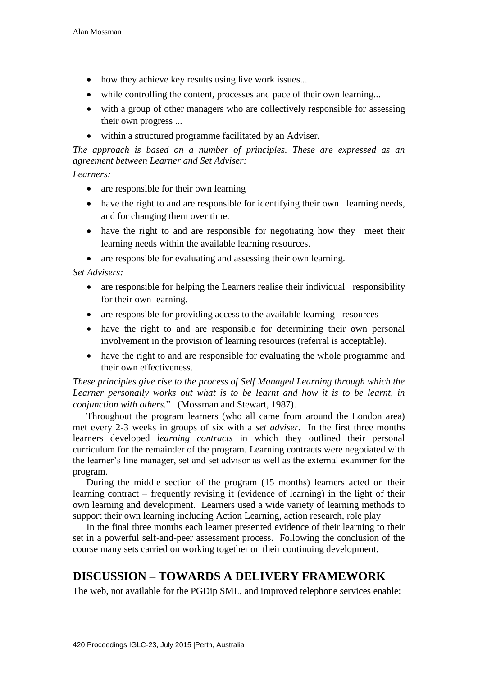- how they achieve key results using live work issues...
- while controlling the content, processes and pace of their own learning...
- with a group of other managers who are collectively responsible for assessing their own progress ...
- within a structured programme facilitated by an Adviser.

*The approach is based on a number of principles. These are expressed as an agreement between Learner and Set Adviser:* 

### *Learners:*

- are responsible for their own learning
- have the right to and are responsible for identifying their own learning needs, and for changing them over time.
- have the right to and are responsible for negotiating how they meet their learning needs within the available learning resources.
- are responsible for evaluating and assessing their own learning.

#### *Set Advisers:*

- are responsible for helping the Learners realise their individual responsibility for their own learning.
- are responsible for providing access to the available learning resources
- have the right to and are responsible for determining their own personal involvement in the provision of learning resources (referral is acceptable).
- have the right to and are responsible for evaluating the whole programme and their own effectiveness.

*These principles give rise to the process of Self Managed Learning through which the*  Learner personally works out what is to be learnt and how it is to be learnt, in *conjunction with others.*" (Mossman and Stewart, 1987).

Throughout the program learners (who all came from around the London area) met every 2-3 weeks in groups of six with a *set adviser.* In the first three months learners developed *learning contracts* in which they outlined their personal curriculum for the remainder of the program. Learning contracts were negotiated with the learner's line manager, set and set advisor as well as the external examiner for the program.

During the middle section of the program (15 months) learners acted on their learning contract – frequently revising it (evidence of learning) in the light of their own learning and development. Learners used a wide variety of learning methods to support their own learning including Action Learning, action research, role play

In the final three months each learner presented evidence of their learning to their set in a powerful self-and-peer assessment process. Following the conclusion of the course many sets carried on working together on their continuing development.

# **DISCUSSION – TOWARDS A DELIVERY FRAMEWORK**

The web, not available for the PGDip SML, and improved telephone services enable: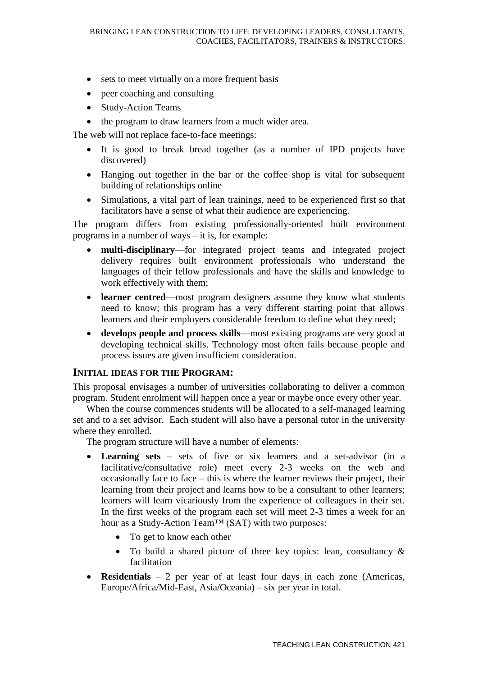- sets to meet virtually on a more frequent basis
- peer coaching and consulting
- Study-Action Teams
- the program to draw learners from a much wider area.

The web will not replace face-to-face meetings:

- It is good to break bread together (as a number of IPD projects have discovered)
- Hanging out together in the bar or the coffee shop is vital for subsequent building of relationships online
- Simulations, a vital part of lean trainings, need to be experienced first so that facilitators have a sense of what their audience are experiencing.

The program differs from existing professionally-oriented built environment programs in a number of ways – it is, for example:

- **multi-disciplinary**—for integrated project teams and integrated project delivery requires built environment professionals who understand the languages of their fellow professionals and have the skills and knowledge to work effectively with them;
- **learner centred**—most program designers assume they know what students need to know; this program has a very different starting point that allows learners and their employers considerable freedom to define what they need;
- **develops people and process skills**—most existing programs are very good at developing technical skills. Technology most often fails because people and process issues are given insufficient consideration.

#### **INITIAL IDEAS FOR THE PROGRAM:**

This proposal envisages a number of universities collaborating to deliver a common program. Student enrolment will happen once a year or maybe once every other year.

When the course commences students will be allocated to a self-managed learning set and to a set advisor. Each student will also have a personal tutor in the university where they enrolled.

The program structure will have a number of elements:

- **Learning sets** sets of five or six learners and a set-advisor (in a facilitative/consultative role) meet every 2-3 weeks on the web and occasionally face to face – this is where the learner reviews their project, their learning from their project and learns how to be a consultant to other learners; learners will learn vicariously from the experience of colleagues in their set. In the first weeks of the program each set will meet 2-3 times a week for an hour as a Study-Action Team™ (SAT) with two purposes:
	- To get to know each other
	- To build a shared picture of three key topics: lean, consultancy & facilitation
- **Residentials**  $-2$  per year of at least four days in each zone (Americas, Europe/Africa/Mid-East, Asia/Oceania) – six per year in total.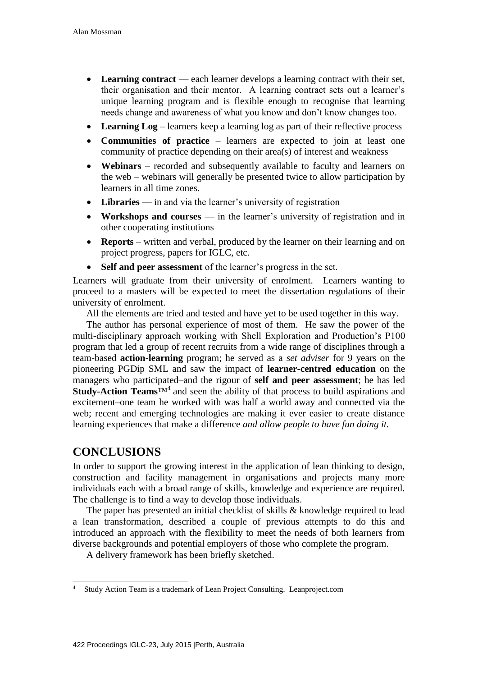- Learning contract each learner develops a learning contract with their set, their organisation and their mentor. A learning contract sets out a learner's unique learning program and is flexible enough to recognise that learning needs change and awareness of what you know and don't know changes too.
- **Learning Log** learners keep a learning log as part of their reflective process
- **Communities of practice**  learners are expected to join at least one community of practice depending on their area(s) of interest and weakness
- **Webinars** recorded and subsequently available to faculty and learners on the web – webinars will generally be presented twice to allow participation by learners in all time zones.
- **Libraries** in and via the learner's university of registration
- **Workshops and courses**  in the learner's university of registration and in other cooperating institutions
- **Reports** written and verbal, produced by the learner on their learning and on project progress, papers for IGLC, etc.
- **Self and peer assessment** of the learner's progress in the set.

Learners will graduate from their university of enrolment. Learners wanting to proceed to a masters will be expected to meet the dissertation regulations of their university of enrolment.

All the elements are tried and tested and have yet to be used together in this way.

The author has personal experience of most of them. He saw the power of the multi-disciplinary approach working with Shell Exploration and Production's P100 program that led a group of recent recruits from a wide range of disciplines through a team-based **action-learning** program; he served as a *set adviser* for 9 years on the pioneering PGDip SML and saw the impact of **learner-centred education** on the managers who participated–and the rigour of **self and peer assessment**; he has led Study-Action Teams<sup>™4</sup> and seen the ability of that process to build aspirations and excitement–one team he worked with was half a world away and connected via the web; recent and emerging technologies are making it ever easier to create distance learning experiences that make a difference *and allow people to have fun doing it.*

### **CONCLUSIONS**

In order to support the growing interest in the application of lean thinking to design, construction and facility management in organisations and projects many more individuals each with a broad range of skills, knowledge and experience are required. The challenge is to find a way to develop those individuals.

The paper has presented an initial checklist of skills & knowledge required to lead a lean transformation, described a couple of previous attempts to do this and introduced an approach with the flexibility to meet the needs of both learners from diverse backgrounds and potential employers of those who complete the program.

A delivery framework has been briefly sketched.

<sup>1</sup> <sup>4</sup> Study Action Team is a trademark of Lean Project Consulting. Leanproject.com